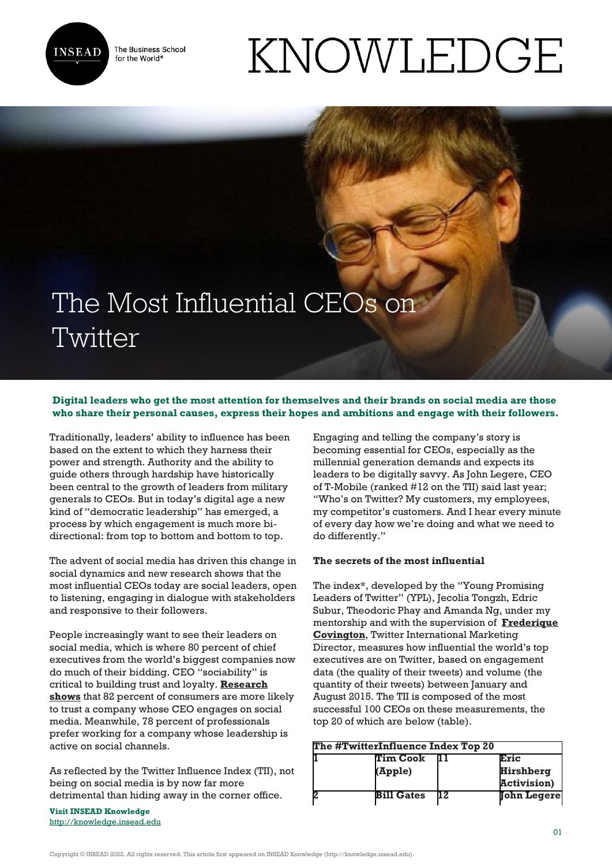

The Business School for the World<sup>®</sup>

# KNOWLEDGE

## The Most Influential CEOs on **Twitter**

### **Digital leaders who get the most attention for themselves and their brands on social media are those who share their personal causes, express their hopes and ambitions and engage with their followers.**

Traditionally, leaders' ability to influence has been based on the extent to which they harness their power and strength. Authority and the ability to guide others through hardship have historically been central to the growth of leaders from military generals to CEOs. But in today's digital age a new kind of "democratic leadership" has emerged, a process by which engagement is much more bidirectional: from top to bottom and bottom to top.

The advent of social media has driven this change in social dynamics and new research shows that the most influential CEOs today are social leaders, open to listening, engaging in dialogue with stakeholders and responsive to their followers.

People increasingly want to see their leaders on social media, which is where 80 percent of chief executives from the world's biggest companies now do much of their bidding. CEO "sociability" is critical to building trust and loyalty. **[Research](http://brandfog.com/CEOSocialMediaSurvey/BRANDfog_2012_CEO_Survey.pdf) [shows](http://brandfog.com/CEOSocialMediaSurvey/BRANDfog_2012_CEO_Survey.pdf)** that 82 percent of consumers are more likely to trust a company whose CEO engages on social media. Meanwhile, 78 percent of professionals prefer working for a company whose leadership is active on social channels.

As reflected by the Twitter Influence Index (TII), not being on social media is by now far more detrimental than hiding away in the corner office.

**Visit INSEAD Knowledge** <http://knowledge.insead.edu> Engaging and telling the company's story is becoming essential for CEOs, especially as the millennial generation demands and expects its leaders to be digitally savvy. As John Legere, CEO of T-Mobile (ranked #12 on the TII) said last year; "Who's on Twitter? My customers, my employees, my competitor's customers. And I hear every minute of every day how we're doing and what we need to do differently."

#### **The secrets of the most influential**

The index\*, developed by the "Young Promising Leaders of Twitter" (YPL), Jecolia Tongzh, Edric Subur, Theodoric Phay and Amanda Ng, under my mentorship and with the supervision of **[Frederique](https://twitter.com/Freddie_covi?ref_src=twsrc%5Egoogle%7Ctwcamp%5Eserp%7Ctwgr%5Eauthor) [Covington](https://twitter.com/Freddie_covi?ref_src=twsrc%5Egoogle%7Ctwcamp%5Eserp%7Ctwgr%5Eauthor)**, Twitter International Marketing Director, measures how influential the world's top executives are on Twitter, based on engagement data (the quality of their tweets) and volume (the quantity of their tweets) between January and August 2015. The TII is composed of the most successful 100 CEOs on these measurements, the top 20 of which are below (table).

| The #TwitterInfluence Index Top 20 |                   |     |                     |  |  |
|------------------------------------|-------------------|-----|---------------------|--|--|
|                                    | <b>Tim Cook</b>   | . . | Eric                |  |  |
|                                    | (Apple)           |     | <b>Hirshberg</b>    |  |  |
|                                    |                   |     | <b>Activision</b> ) |  |  |
|                                    | <b>Bill Gates</b> | 12  | <b>John Legere</b>  |  |  |

Copyright © INSEAD 2022. All rights reserved. This article first appeared on INSEAD Knowledge (http://knowledge.insead.edu).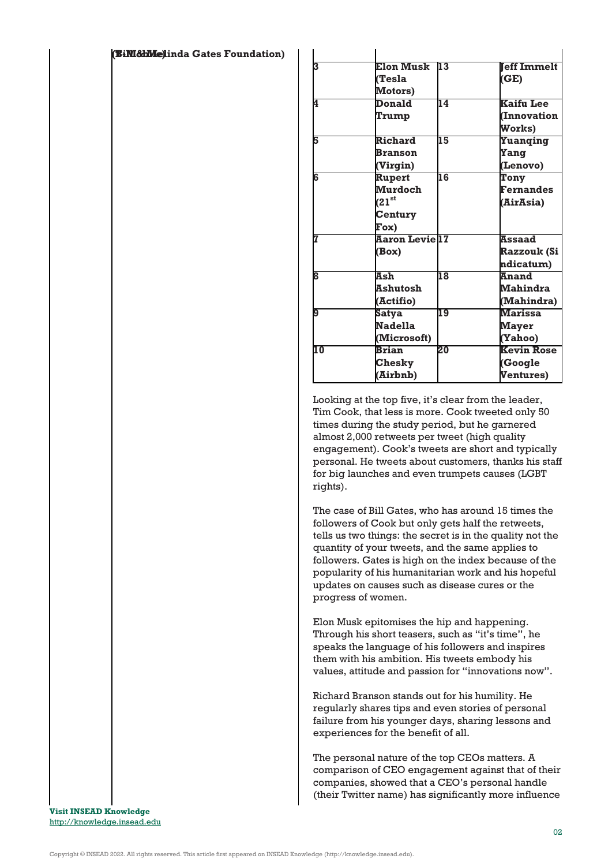| 3               | Elon Musk             | 13 | Teff Immelt        |
|-----------------|-----------------------|----|--------------------|
|                 | (Tesla                |    | (GE)               |
|                 | Motors)               |    |                    |
| 4               | Donald                | 14 | Kaifu Lee          |
|                 | Trump                 |    | <b>Innovation</b>  |
|                 |                       |    | Works)             |
| 5               | <b>Richard</b>        | 15 | Yuanqing           |
|                 | Branson               |    | Yang               |
|                 | (Virgin)              |    | (Lenovo)           |
| 6               | Rupert                | 16 | Tony               |
|                 | Murdoch               |    | <b>Fernandes</b>   |
|                 | (21 <sup>st</sup>     |    | (AirAsia)          |
|                 | Century               |    |                    |
|                 | Fox)                  |    |                    |
| 7               | <b>Aaron Levie 17</b> |    | <b>Assaad</b>      |
|                 | (Box)                 |    | <b>Razzouk</b> (Si |
|                 |                       |    | ndicatum)          |
| 8               | Āsh                   | 18 | <b>Anand</b>       |
|                 | <b>Ashutosh</b>       |    | Mahindra           |
|                 | (Actifio)             |    | (Mahindra)         |
| 9               | Satya                 | 19 | Marissa            |
|                 | Nadella               |    | <b>Mayer</b>       |
|                 | (Microsoft)           |    | (Yahoo)            |
| $\overline{10}$ | Brian                 | 20 | <b>Kevin Rose</b>  |
|                 | <b>Chesky</b>         |    | (Google            |
|                 | (Airbnb)              |    | Ventures)          |

Looking at the top five, it's clear from the leader, Tim Cook, that less is more. Cook tweeted only 50 times during the study period, but he garnered almost 2,000 retweets per tweet (high quality engagement). Cook's tweets are short and typically personal. He tweets about customers, thanks his staff for big launches and even trumpets causes (LGBT rights).

The case of Bill Gates, who has around 15 times the followers of Cook but only gets half the retweets, tells us two things: the secret is in the quality not the quantity of your tweets, and the same applies to followers. Gates is high on the index because of the popularity of his humanitarian work and his hopeful updates on causes such as disease cures or the progress of women.

Elon Musk epitomises the hip and happening. Through his short teasers, such as "it's time", he speaks the language of his followers and inspires them with his ambition. His tweets embody his values, attitude and passion for "innovations now".

Richard Branson stands out for his humility. He regularly shares tips and even stories of personal failure from his younger days, sharing lessons and experiences for the benefit of all.

The personal nature of the top CEOs matters. A comparison of CEO engagement against that of their companies, showed that a CEO's personal handle (their Twitter name) has significantly more influence

**Visit INSEAD Knowledge** <http://knowledge.insead.edu>